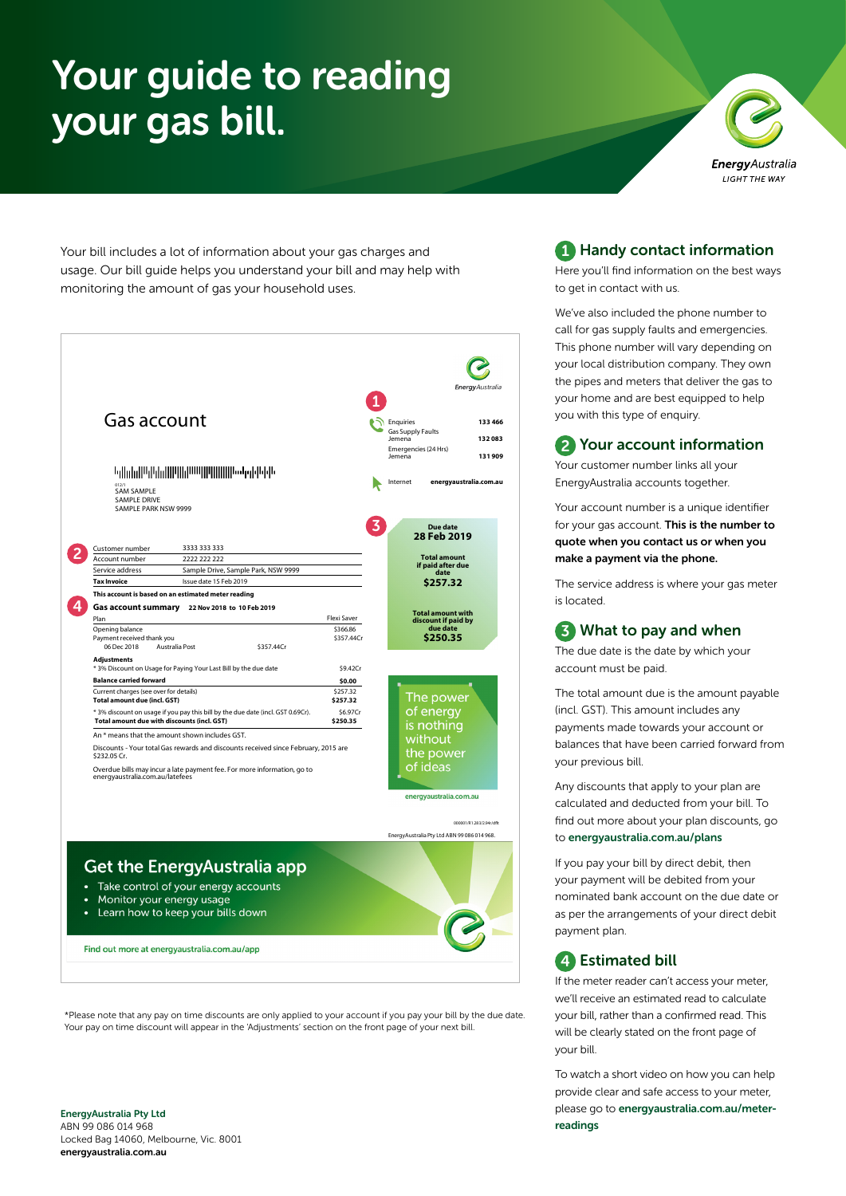# your gas bill.



Your bill includes a lot of information about your gas charges and usage. Our bill guide helps you understand your bill and may help with monitoring the amount of gas your household uses.



\*Please note that any pay on time discounts are only applied to your account if you pay your bill by the due date. Your pay on time discount will appear in the 'Adjustments' section on the front page of your next bill.

#### EnergyAustralia Pty Ltd ABN 99 086 014 968 Locked Bag 14060, Melbourne, Vic. 8001 energyaustralia.com.au

#### 1 Handy contact information

Here you'll find information on the best ways to get in contact with us.

We've also included the phone number to call for gas supply faults and emergencies. This phone number will vary depending on your local distribution company. They own the pipes and meters that deliver the gas to your home and are best equipped to help you with this type of enquiry.

#### 2 Your account information

Your customer number links all your EnergyAustralia accounts together.

Your account number is a unique identifier for your gas account. This is the number to quote when you contact us or when you make a payment via the phone.

The service address is where your gas meter is located.

#### **3** What to pay and when

The due date is the date by which your account must be paid.

The total amount due is the amount payable (incl. GST). This amount includes any payments made towards your account or balances that have been carried forward from your previous bill.

Any discounts that apply to your plan are calculated and deducted from your bill. To find out more about your plan discounts, go to [energyaustralia.com.au/plans](https://www.energyaustralia.com.au/plans)

If you pay your bill by direct debit, then your payment will be debited from your nominated bank account on the due date or as per the arrangements of your direct debit payment plan.

#### **4** Estimated bill

If the meter reader can't access your meter, we'll receive an estimated read to calculate your bill, rather than a confirmed read. This will be clearly stated on the front page of your bill.

To watch a short video on how you can help provide clear and safe access to your meter, please go to [energyaustralia.com.au/meter](https://www.energyaustralia.com.au/meter-readings)[readings](https://www.energyaustralia.com.au/meter-readings)